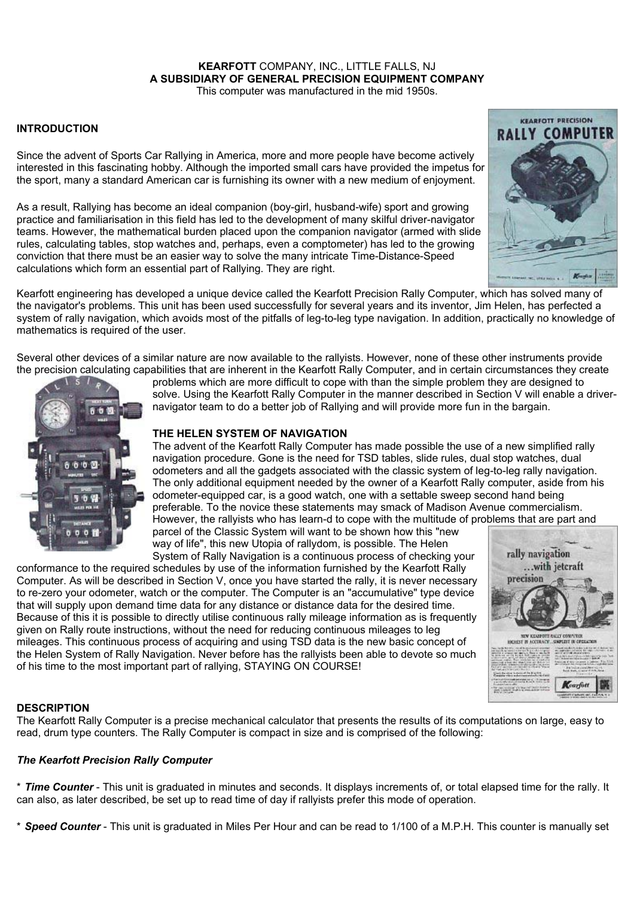# **KEARFOTT** COMPANY, INC., LITTLE FALLS, NJ **A SUBSIDIARY OF GENERAL PRECISION EQUIPMENT COMPANY**

This computer was manufactured in the mid 1950s.

# **INTRODUCTION**

Since the advent of Sports Car Rallying in America, more and more people have become actively interested in this fascinating hobby. Although the imported small cars have provided the impetus for the sport, many a standard American car is furnishing its owner with a new medium of enjoyment.

As a result, Rallying has become an ideal companion (boy-girl, husband-wife) sport and growing practice and familiarisation in this field has led to the development of many skilful driver-navigator teams. However, the mathematical burden placed upon the companion navigator (armed with slide rules, calculating tables, stop watches and, perhaps, even a comptometer) has led to the growing conviction that there must be an easier way to solve the many intricate Time-Distance-Speed calculations which form an essential part of Rallying. They are right.



Kearfott engineering has developed a unique device called the Kearfott Precision Rally Computer, which has solved many of the navigator's problems. This unit has been used successfully for several years and its inventor, Jim Helen, has perfected a system of rally navigation, which avoids most of the pitfalls of leg-to-leg type navigation. In addition, practically no knowledge of mathematics is required of the user.

Several other devices of a similar nature are now available to the rallyists. However, none of these other instruments provide the precision calculating capabilities that are inherent in the Kearfott Rally Computer, and in certain circumstances they create



problems which are more difficult to cope with than the simple problem they are designed to solve. Using the Kearfott Rally Computer in the manner described in Section V will enable a drivernavigator team to do a better job of Rallying and will provide more fun in the bargain.

# **THE HELEN SYSTEM OF NAVIGATION**

The advent of the Kearfott Rally Computer has made possible the use of a new simplified rally navigation procedure. Gone is the need for TSD tables, slide rules, dual stop watches, dual odometers and all the gadgets associated with the classic system of leg-to-leg rally navigation. The only additional equipment needed by the owner of a Kearfott Rally computer, aside from his odometer-equipped car, is a good watch, one with a settable sweep second hand being preferable. To the novice these statements may smack of Madison Avenue commercialism. However, the rallyists who has learn-d to cope with the multitude of problems that are part and parcel of the Classic System will want to be shown how this "new

way of life", this new Utopia of rallydom, is possible. The Helen System of Rally Navigation is a continuous process of checking your

conformance to the required schedules by use of the information furnished by the Kearfott Rally Computer. As will be described in Section V, once you have started the rally, it is never necessary to re-zero your odometer, watch or the computer. The Computer is an "accumulative" type device that will supply upon demand time data for any distance or distance data for the desired time. Because of this it is possible to directly utilise continuous rally mileage information as is frequently given on Rally route instructions, without the need for reducing continuous mileages to leg mileages. This continuous process of acquiring and using TSD data is the new basic concept of the Helen System of Rally Navigation. Never before has the rallyists been able to devote so much of his time to the most important part of rallying, STAYING ON COURSE!



## **DESCRIPTION**

The Kearfott Rally Computer is a precise mechanical calculator that presents the results of its computations on large, easy to read, drum type counters. The Rally Computer is compact in size and is comprised of the following:

## *The Kearfott Precision Rally Computer*

\* *Time Counter* - This unit is graduated in minutes and seconds. It displays increments of, or total elapsed time for the rally. It can also, as later described, be set up to read time of day if rallyists prefer this mode of operation.

\* *Speed Counter* - This unit is graduated in Miles Per Hour and can be read to 1/100 of a M.P.H. This counter is manually set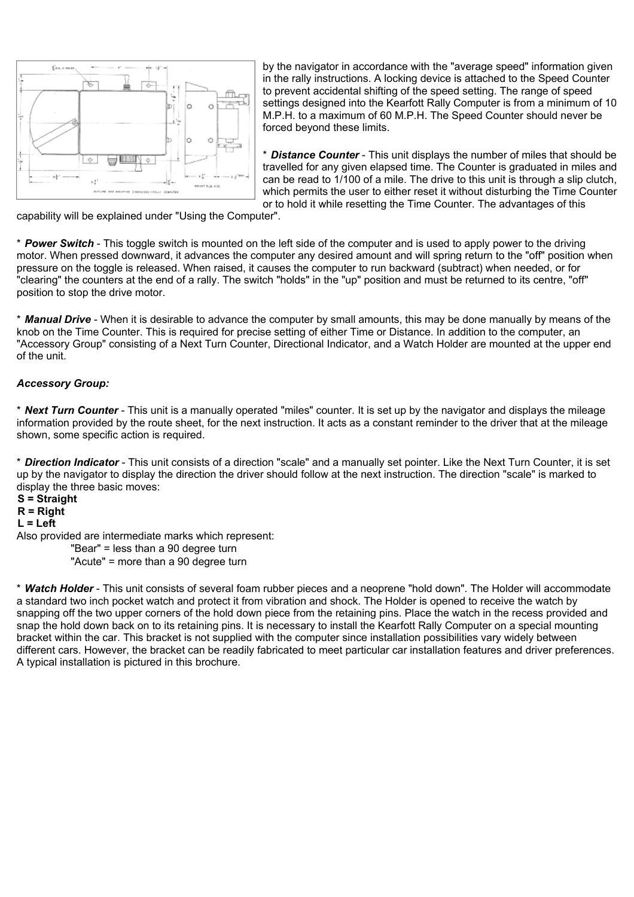

by the navigator in accordance with the "average speed" information given in the rally instructions. A locking device is attached to the Speed Counter to prevent accidental shifting of the speed setting. The range of speed settings designed into the Kearfott Rally Computer is from a minimum of 10 M.P.H. to a maximum of 60 M.P.H. The Speed Counter should never be forced beyond these limits.

\* *Distance Counter* - This unit displays the number of miles that should be travelled for any given elapsed time. The Counter is graduated in miles and can be read to 1/100 of a mile. The drive to this unit is through a slip clutch, which permits the user to either reset it without disturbing the Time Counter or to hold it while resetting the Time Counter. The advantages of this

capability will be explained under "Using the Computer".

\* *Power Switch* - This toggle switch is mounted on the left side of the computer and is used to apply power to the driving motor. When pressed downward, it advances the computer any desired amount and will spring return to the "off" position when pressure on the toggle is released. When raised, it causes the computer to run backward (subtract) when needed, or for "clearing" the counters at the end of a rally. The switch "holds" in the "up" position and must be returned to its centre, "off" position to stop the drive motor.

\* *Manual Drive* - When it is desirable to advance the computer by small amounts, this may be done manually by means of the knob on the Time Counter. This is required for precise setting of either Time or Distance. In addition to the computer, an "Accessory Group" consisting of a Next Turn Counter, Directional Indicator, and a Watch Holder are mounted at the upper end of the unit.

## *Accessory Group:*

\* *Next Turn Counter* - This unit is a manually operated "miles" counter. It is set up by the navigator and displays the mileage information provided by the route sheet, for the next instruction. It acts as a constant reminder to the driver that at the mileage shown, some specific action is required.

\* *Direction Indicator* - This unit consists of a direction "scale" and a manually set pointer. Like the Next Turn Counter, it is set up by the navigator to display the direction the driver should follow at the next instruction. The direction "scale" is marked to display the three basic moves:

**S = Straight R = Right L = Left**

Also provided are intermediate marks which represent:

"Bear" = less than a 90 degree turn

"Acute" = more than a 90 degree turn

\* *Watch Holder* - This unit consists of several foam rubber pieces and a neoprene "hold down". The Holder will accommodate a standard two inch pocket watch and protect it from vibration and shock. The Holder is opened to receive the watch by snapping off the two upper corners of the hold down piece from the retaining pins. Place the watch in the recess provided and snap the hold down back on to its retaining pins. It is necessary to install the Kearfott Rally Computer on a special mounting bracket within the car. This bracket is not supplied with the computer since installation possibilities vary widely between different cars. However, the bracket can be readily fabricated to meet particular car installation features and driver preferences. A typical installation is pictured in this brochure.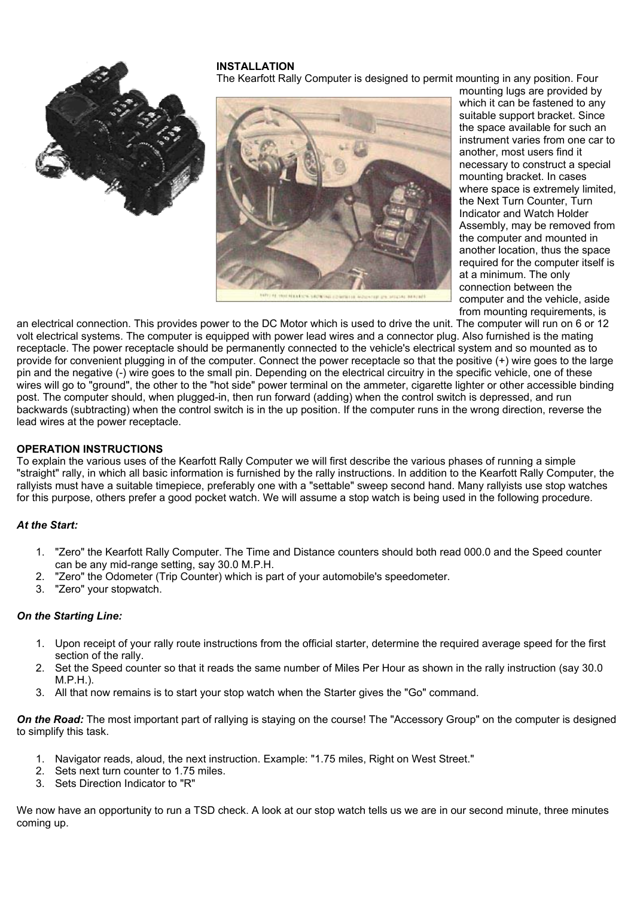#### **INSTALLATION**

The Kearfott Rally Computer is designed to permit mounting in any position. Four



mounting lugs are provided by which it can be fastened to any suitable support bracket. Since the space available for such an instrument varies from one car to another, most users find it necessary to construct a special mounting bracket. In cases where space is extremely limited. the Next Turn Counter, Turn Indicator and Watch Holder Assembly, may be removed from the computer and mounted in another location, thus the space required for the computer itself is at a minimum. The only connection between the computer and the vehicle, aside from mounting requirements, is

an electrical connection. This provides power to the DC Motor which is used to drive the unit. The computer will run on 6 or 12 volt electrical systems. The computer is equipped with power lead wires and a connector plug. Also furnished is the mating receptacle. The power receptacle should be permanently connected to the vehicle's electrical system and so mounted as to provide for convenient plugging in of the computer. Connect the power receptacle so that the positive (+) wire goes to the large pin and the negative (-) wire goes to the small pin. Depending on the electrical circuitry in the specific vehicle, one of these wires will go to "ground", the other to the "hot side" power terminal on the ammeter, cigarette lighter or other accessible binding post. The computer should, when plugged-in, then run forward (adding) when the control switch is depressed, and run backwards (subtracting) when the control switch is in the up position. If the computer runs in the wrong direction, reverse the lead wires at the power receptacle.

## **OPERATION INSTRUCTIONS**

To explain the various uses of the Kearfott Rally Computer we will first describe the various phases of running a simple "straight" rally, in which all basic information is furnished by the rally instructions. In addition to the Kearfott Rally Computer, the rallyists must have a suitable timepiece, preferably one with a "settable" sweep second hand. Many rallyists use stop watches for this purpose, others prefer a good pocket watch. We will assume a stop watch is being used in the following procedure.

## *At the Start:*

- 1. "Zero" the Kearfott Rally Computer. The Time and Distance counters should both read 000.0 and the Speed counter can be any mid-range setting, say 30.0 M.P.H.
- 2. "Zero" the Odometer (Trip Counter) which is part of your automobile's speedometer.
- 3. "Zero" your stopwatch.

#### *On the Starting Line:*

- 1. Upon receipt of your rally route instructions from the official starter, determine the required average speed for the first section of the rally.
- 2. Set the Speed counter so that it reads the same number of Miles Per Hour as shown in the rally instruction (say 30.0 M.P.H.).
- 3. All that now remains is to start your stop watch when the Starter gives the "Go" command.

**On the Road:** The most important part of rallying is staying on the course! The "Accessory Group" on the computer is designed to simplify this task.

- 1. Navigator reads, aloud, the next instruction. Example: "1.75 miles, Right on West Street."
- 2. Sets next turn counter to 1.75 miles.
- 3. Sets Direction Indicator to "R"

We now have an opportunity to run a TSD check. A look at our stop watch tells us we are in our second minute, three minutes coming up.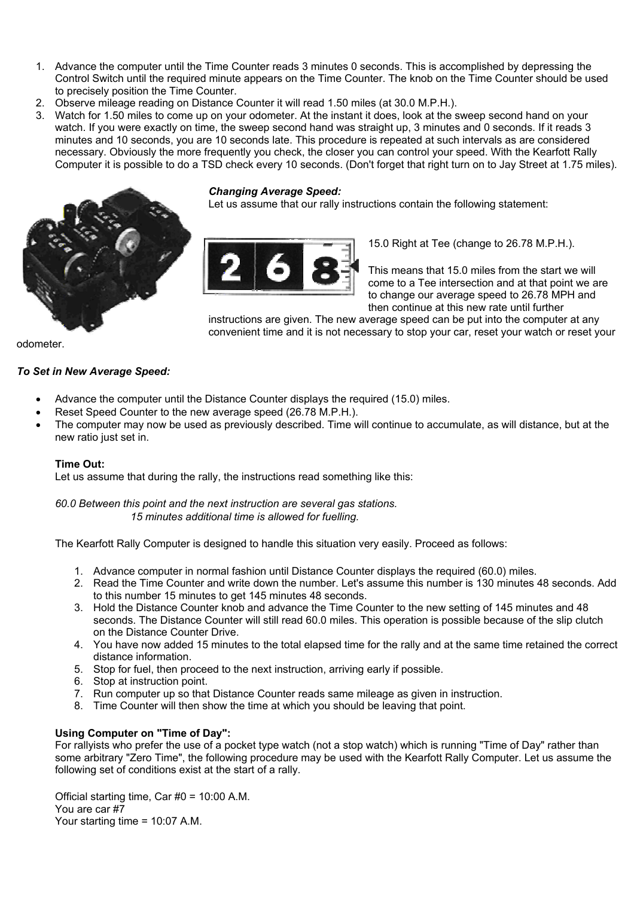- 1. Advance the computer until the Time Counter reads 3 minutes 0 seconds. This is accomplished by depressing the Control Switch until the required minute appears on the Time Counter. The knob on the Time Counter should be used to precisely position the Time Counter.
- 2. Observe mileage reading on Distance Counter it will read 1.50 miles (at 30.0 M.P.H.).
- 3. Watch for 1.50 miles to come up on your odometer. At the instant it does, look at the sweep second hand on your watch. If you were exactly on time, the sweep second hand was straight up, 3 minutes and 0 seconds. If it reads 3 minutes and 10 seconds, you are 10 seconds late. This procedure is repeated at such intervals as are considered necessary. Obviously the more frequently you check, the closer you can control your speed. With the Kearfott Rally Computer it is possible to do a TSD check every 10 seconds. (Don't forget that right turn on to Jay Street at 1.75 miles).



#### *Changing Average Speed:*

Let us assume that our rally instructions contain the following statement:



15.0 Right at Tee (change to 26.78 M.P.H.).

This means that 15.0 miles from the start we will come to a Tee intersection and at that point we are to change our average speed to 26.78 MPH and then continue at this new rate until further

instructions are given. The new average speed can be put into the computer at any convenient time and it is not necessary to stop your car, reset your watch or reset your

odometer.

## *To Set in New Average Speed:*

- Advance the computer until the Distance Counter displays the required (15.0) miles.
- Reset Speed Counter to the new average speed (26.78 M.P.H.).
- The computer may now be used as previously described. Time will continue to accumulate, as will distance, but at the new ratio just set in.

## **Time Out:**

Let us assume that during the rally, the instructions read something like this:

*60.0 Between this point and the next instruction are several gas stations. 15 minutes additional time is allowed for fuelling.*

The Kearfott Rally Computer is designed to handle this situation very easily. Proceed as follows:

- 1. Advance computer in normal fashion until Distance Counter displays the required (60.0) miles.
- 2. Read the Time Counter and write down the number. Let's assume this number is 130 minutes 48 seconds. Add to this number 15 minutes to get 145 minutes 48 seconds.
- 3. Hold the Distance Counter knob and advance the Time Counter to the new setting of 145 minutes and 48 seconds. The Distance Counter will still read 60.0 miles. This operation is possible because of the slip clutch on the Distance Counter Drive.
- 4. You have now added 15 minutes to the total elapsed time for the rally and at the same time retained the correct distance information.
- 5. Stop for fuel, then proceed to the next instruction, arriving early if possible.
- 6. Stop at instruction point.
- 7. Run computer up so that Distance Counter reads same mileage as given in instruction.
- 8. Time Counter will then show the time at which you should be leaving that point.

## **Using Computer on "Time of Day":**

For rallyists who prefer the use of a pocket type watch (not a stop watch) which is running "Time of Day" rather than some arbitrary "Zero Time", the following procedure may be used with the Kearfott Rally Computer. Let us assume the following set of conditions exist at the start of a rally.

Official starting time, Car #0 = 10:00 A.M. You are car #7 Your starting time = 10:07 A.M.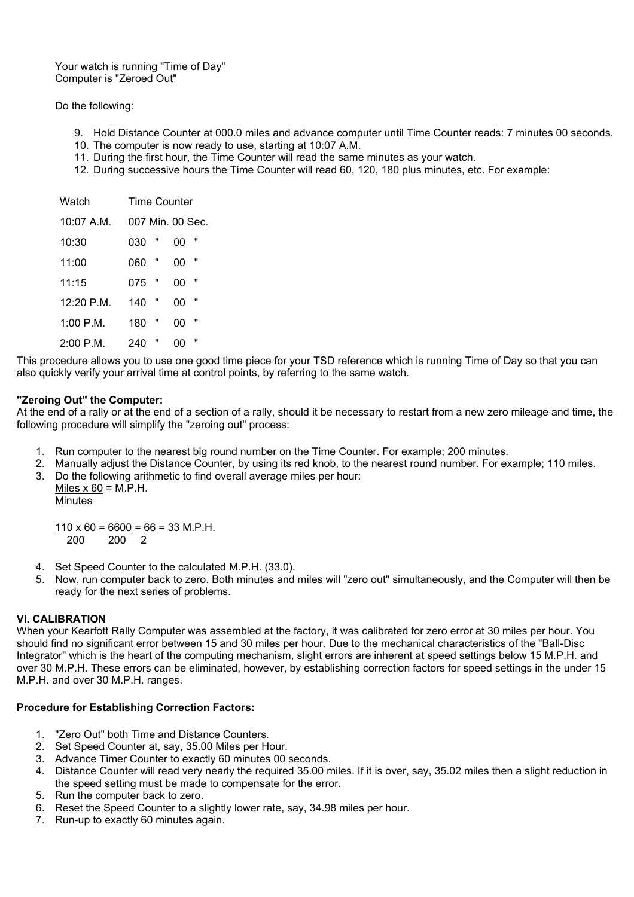Your watch is running "Time of Day" Computer is "Zeroed Out"

## Do the following:

- 9. Hold Distance Counter at 000.0 miles and advance computer until Time Counter reads: 7 minutes 00 seconds.
- 10. The computer is now ready to use, starting at 10:07 A.M.
- 11. During the first hour, the Time Counter will read the same minutes as your watch.
- 12. During successive hours the Time Counter will read 60, 120, 180 plus minutes, etc. For example:

| Watch       | Time Counter        |
|-------------|---------------------|
| $10:07$ A.M | 007 Min. 00 Sec.    |
| 10:30       | "<br>030<br>იი      |
| 11:00       | "<br>იი<br>060      |
| 11:15       | π<br>"<br>075<br>იი |
| 12·20 P M   | "<br>π<br>140<br>00 |
| 1:00 P M    | "<br>180<br>იი      |
| 2:00 P M    | "<br>240<br>00      |

This procedure allows you to use one good time piece for your TSD reference which is running Time of Day so that you can also quickly verify your arrival time at control points, by referring to the same watch.

#### **"Zeroing Out" the Computer:**

At the end of a rally or at the end of a section of a rally, should it be necessary to restart from a new zero mileage and time, the following procedure will simplify the "zeroing out" process:

- 1. Run computer to the nearest big round number on the Time Counter. For example; 200 minutes.
- 2. Manually adjust the Distance Counter, by using its red knob, to the nearest round number. For example; 110 miles.
- 3. Do the following arithmetic to find overall average miles per hour:
	- Miles  $x$  60 = M.P.H. Minutes

 $110 \times 60 = 6600 = 66 = 33$  M.P.H. 200 200 2

- 4. Set Speed Counter to the calculated M.P.H. (33.0).
- 5. Now, run computer back to zero. Both minutes and miles will "zero out" simultaneously, and the Computer will then be ready for the next series of problems.

## **VI. CALIBRATION**

When your Kearfott Rally Computer was assembled at the factory, it was calibrated for zero error at 30 miles per hour. You should find no significant error between 15 and 30 miles per hour. Due to the mechanical characteristics of the "Ball-Disc Integrator" which is the heart of the computing mechanism, slight errors are inherent at speed settings below 15 M.P.H. and over 30 M.P.H. These errors can be eliminated, however, by establishing correction factors for speed settings in the under 15 M.P.H. and over 30 M.P.H. ranges.

## **Procedure for Establishing Correction Factors:**

- 1. "Zero Out" both Time and Distance Counters.
- 2. Set Speed Counter at, say, 35.00 Miles per Hour.
- 3. Advance Timer Counter to exactly 60 minutes 00 seconds.
- 4. Distance Counter will read very nearly the required 35.00 miles. If it is over, say, 35.02 miles then a slight reduction in the speed setting must be made to compensate for the error.
- 5. Run the computer back to zero.
- 6. Reset the Speed Counter to a slightly lower rate, say, 34.98 miles per hour.
- 7. Run-up to exactly 60 minutes again.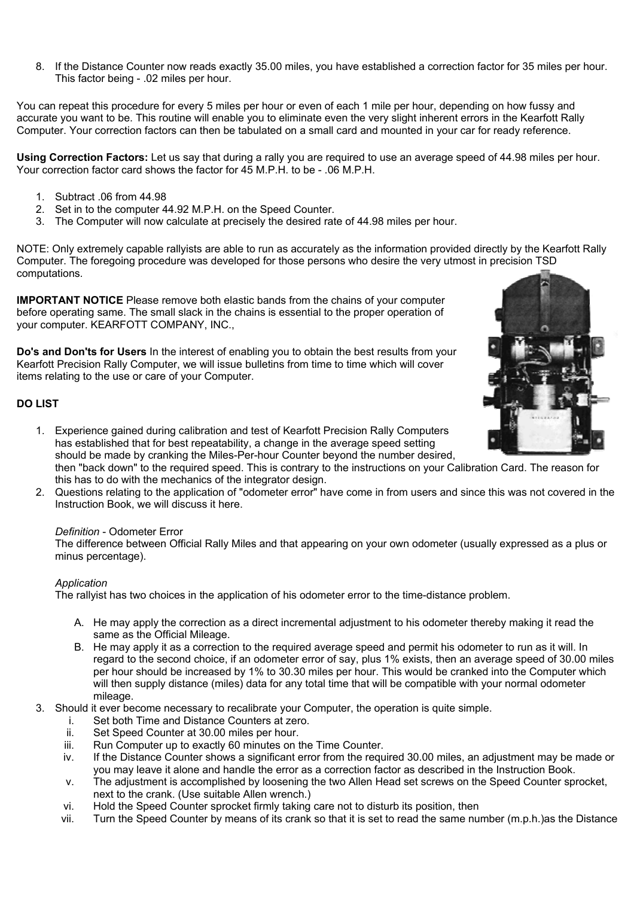8. If the Distance Counter now reads exactly 35.00 miles, you have established a correction factor for 35 miles per hour. This factor being - .02 miles per hour.

You can repeat this procedure for every 5 miles per hour or even of each 1 mile per hour, depending on how fussy and accurate you want to be. This routine will enable you to eliminate even the very slight inherent errors in the Kearfott Rally Computer. Your correction factors can then be tabulated on a small card and mounted in your car for ready reference.

**Using Correction Factors:** Let us say that during a rally you are required to use an average speed of 44.98 miles per hour. Your correction factor card shows the factor for 45 M.P.H. to be - .06 M.P.H.

- 1. Subtract .06 from 44.98
- 2. Set in to the computer 44.92 M.P.H. on the Speed Counter.
- 3. The Computer will now calculate at precisely the desired rate of 44.98 miles per hour.

NOTE: Only extremely capable rallyists are able to run as accurately as the information provided directly by the Kearfott Rally Computer. The foregoing procedure was developed for those persons who desire the very utmost in precision TSD computations.

**IMPORTANT NOTICE** Please remove both elastic bands from the chains of your computer before operating same. The small slack in the chains is essential to the proper operation of your computer. KEARFOTT COMPANY, INC.,

**Do's and Don'ts for Users** In the interest of enabling you to obtain the best results from your Kearfott Precision Rally Computer, we will issue bulletins from time to time which will cover items relating to the use or care of your Computer.

# **DO LIST**



- 1. Experience gained during calibration and test of Kearfott Precision Rally Computers has established that for best repeatability, a change in the average speed setting should be made by cranking the Miles-Per-hour Counter beyond the number desired, then "back down" to the required speed. This is contrary to the instructions on your Calibration Card. The reason for this has to do with the mechanics of the integrator design.
- 2. Questions relating to the application of "odometer error" have come in from users and since this was not covered in the Instruction Book, we will discuss it here.

#### *Definition* - Odometer Error

The difference between Official Rally Miles and that appearing on your own odometer (usually expressed as a plus or minus percentage).

## *Application*

The rallyist has two choices in the application of his odometer error to the time-distance problem.

- A. He may apply the correction as a direct incremental adjustment to his odometer thereby making it read the same as the Official Mileage.
- B. He may apply it as a correction to the required average speed and permit his odometer to run as it will. In regard to the second choice, if an odometer error of say, plus 1% exists, then an average speed of 30.00 miles per hour should be increased by 1% to 30.30 miles per hour. This would be cranked into the Computer which will then supply distance (miles) data for any total time that will be compatible with your normal odometer mileage.
- 3. Should it ever become necessary to recalibrate your Computer, the operation is quite simple.
	- i. Set both Time and Distance Counters at zero.
	- ii. Set Speed Counter at 30.00 miles per hour.
	- iii. Run Computer up to exactly 60 minutes on the Time Counter.
	- iv. If the Distance Counter shows a significant error from the required 30.00 miles, an adjustment may be made or you may leave it alone and handle the error as a correction factor as described in the Instruction Book.
	- v. The adjustment is accomplished by loosening the two Allen Head set screws on the Speed Counter sprocket, next to the crank. (Use suitable Allen wrench.)
	- vi. Hold the Speed Counter sprocket firmly taking care not to disturb its position, then
	- vii. Turn the Speed Counter by means of its crank so that it is set to read the same number (m.p.h.)as the Distance